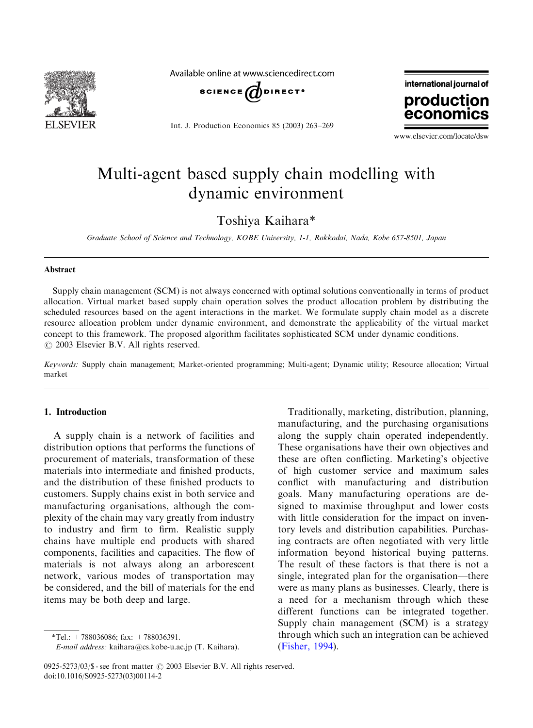

Available online at www.sciencedirect.com



Int. J. Production Economics 85 (2003) 263–269



www.elsevier.com/locate/dsw

## Multi-agent based supply chain modelling with dynamic environment

Toshiya Kaihara\*

Graduate School of Science and Technology, KOBE University, 1-1, Rokkodai, Nada, Kobe 657-8501, Japan

#### Abstract

Supply chain management (SCM) is not always concerned with optimal solutions conventionally in terms of product allocation. Virtual market based supply chain operation solves the product allocation problem by distributing the scheduled resources based on the agent interactions in the market. We formulate supply chain model as a discrete resource allocation problem under dynamic environment, and demonstrate the applicability of the virtual market concept to this framework. The proposed algorithm facilitates sophisticated SCM under dynamic conditions.  $\odot$  2003 Elsevier B.V. All rights reserved.

Keywords: Supply chain management; Market-oriented programming; Multi-agent; Dynamic utility; Resource allocation; Virtual market

### 1. Introduction

A supply chain is a network of facilities and distribution options that performs the functions of procurement of materials, transformation of these materials into intermediate and finished products, and the distribution of these finished products to customers. Supply chains exist in both service and manufacturing organisations, although the complexity of the chain may vary greatly from industry to industry and firm to firm. Realistic supply chains have multiple end products with shared components, facilities and capacities. The flow of materials is not always along an arborescent network, various modes of transportation may be considered, and the bill of materials for the end items may be both deep and large.

Traditionally, marketing, distribution, planning, manufacturing, and the purchasing organisations along the supply chain operated independently. These organisations have their own objectives and these are often conflicting. Marketing's objective of high customer service and maximum sales conflict with manufacturing and distribution goals. Many manufacturing operations are designed to maximise throughput and lower costs with little consideration for the impact on inventory levels and distribution capabilities. Purchasing contracts are often negotiated with very little information beyond historical buying patterns. The result of these factors is that there is not a single, integrated plan for the organisation—there were as many plans as businesses. Clearly, there is a need for a mechanism through which these different functions can be integrated together. Supply chain management (SCM) is a strategy through which such an integration can be achieved [\(Fisher, 1994](#page--1-0)).

<sup>\*</sup>Tel.:  $+788036086$ ; fax:  $+788036391$ .

E-mail address: kaihara@cs.kobe-u.ac.jp (T. Kaihara).

<sup>0925-5273/03/\$ -</sup> see front matter  $\odot$  2003 Elsevier B.V. All rights reserved. doi:10.1016/S0925-5273(03)00114-2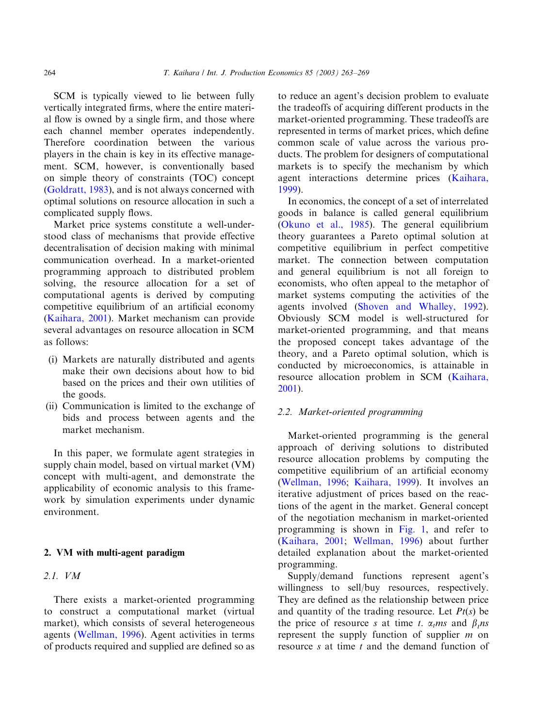SCM is typically viewed to lie between fully vertically integrated firms, where the entire material flow is owned by a single firm, and those where each channel member operates independently. Therefore coordination between the various players in the chain is key in its effective management. SCM, however, is conventionally based on simple theory of constraints (TOC) concept [\(Goldratt, 1983\)](#page--1-0), and is not always concerned with optimal solutions on resource allocation in such a complicated supply flows.

Market price systems constitute a well-understood class of mechanisms that provide effective decentralisation of decision making with minimal communication overhead. In a market-oriented programming approach to distributed problem solving, the resource allocation for a set of computational agents is derived by computing competitive equilibrium of an artificial economy [\(Kaihara, 2001](#page--1-0)). Market mechanism can provide several advantages on resource allocation in SCM as follows:

- (i) Markets are naturally distributed and agents make their own decisions about how to bid based on the prices and their own utilities of the goods.
- (ii) Communication is limited to the exchange of bids and process between agents and the market mechanism.

In this paper, we formulate agent strategies in supply chain model, based on virtual market (VM) concept with multi-agent, and demonstrate the applicability of economic analysis to this framework by simulation experiments under dynamic environment.

#### 2. VM with multi-agent paradigm

#### 2.1. VM

There exists a market-oriented programming to construct a computational market (virtual market), which consists of several heterogeneous agents ([Wellman, 1996\)](#page--1-0). Agent activities in terms of products required and supplied are defined so as to reduce an agent's decision problem to evaluate the tradeoffs of acquiring different products in the market-oriented programming. These tradeoffs are represented in terms of market prices, which define common scale of value across the various products. The problem for designers of computational markets is to specify the mechanism by which agent interactions determine prices [\(Kaihara,](#page--1-0) [1999\)](#page--1-0).

In economics, the concept of a set of interrelated goods in balance is called general equilibrium [\(Okuno et al., 1985](#page--1-0)). The general equilibrium theory guarantees a Pareto optimal solution at competitive equilibrium in perfect competitive market. The connection between computation and general equilibrium is not all foreign to economists, who often appeal to the metaphor of market systems computing the activities of the agents involved [\(Shoven and Whalley, 1992](#page--1-0)). Obviously SCM model is well-structured for market-oriented programming, and that means the proposed concept takes advantage of the theory, and a Pareto optimal solution, which is conducted by microeconomics, is attainable in resource allocation problem in SCM [\(Kaihara,](#page--1-0) [2001\)](#page--1-0).

#### 2.2. Market-oriented programming

Market-oriented programming is the general approach of deriving solutions to distributed resource allocation problems by computing the competitive equilibrium of an artificial economy [\(Wellman, 1996;](#page--1-0) [Kaihara, 1999\)](#page--1-0). It involves an iterative adjustment of prices based on the reactions of the agent in the market. General concept of the negotiation mechanism in market-oriented programming is shown in [Fig. 1,](#page--1-0) and refer to [\(Kaihara, 2001;](#page--1-0) [Wellman, 1996](#page--1-0)) about further detailed explanation about the market-oriented programming.

Supply/demand functions represent agent's willingness to sell/buy resources, respectively. They are defined as the relationship between price and quantity of the trading resource. Let  $Pt(s)$  be the price of resource s at time t.  $\alpha$ <sub>t</sub> $ms$  and  $\beta$ <sub>t</sub> $ns$ represent the supply function of supplier m on resource s at time t and the demand function of